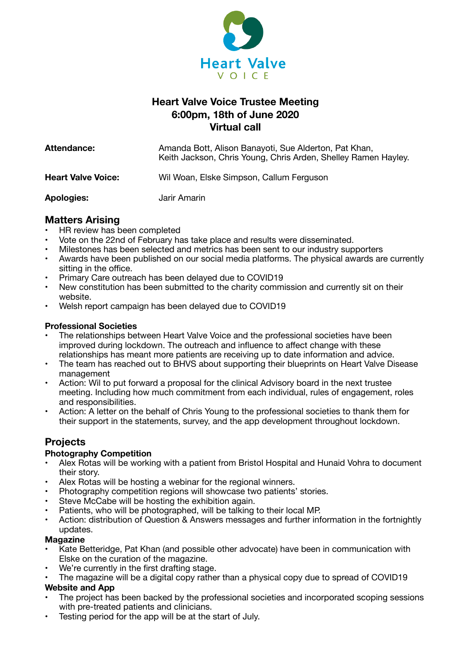

# **Heart Valve Voice Trustee Meeting 6:00pm, 18th of June 2020 Virtual call**

| <b>Attendance:</b>        | Amanda Bott, Alison Banayoti, Sue Alderton, Pat Khan,<br>Keith Jackson, Chris Young, Chris Arden, Shelley Ramen Hayley. |
|---------------------------|-------------------------------------------------------------------------------------------------------------------------|
| <b>Heart Valve Voice:</b> | Wil Woan, Elske Simpson, Callum Ferguson                                                                                |
| <b>Apologies:</b>         | Jarir Amarin                                                                                                            |

## **Matters Arising**

- HR review has been completed
- Vote on the 22nd of February has take place and results were disseminated.
- Milestones has been selected and metrics has been sent to our industry supporters
- Awards have been published on our social media platforms. The physical awards are currently sitting in the office.
- Primary Care outreach has been delayed due to COVID19
- New constitution has been submitted to the charity commission and currently sit on their website.
- Welsh report campaign has been delayed due to COVID19

### **Professional Societies**

- The relationships between Heart Valve Voice and the professional societies have been improved during lockdown. The outreach and influence to affect change with these relationships has meant more patients are receiving up to date information and advice.
- The team has reached out to BHVS about supporting their blueprints on Heart Valve Disease management
- Action: Wil to put forward a proposal for the clinical Advisory board in the next trustee meeting. Including how much commitment from each individual, rules of engagement, roles and responsibilities.
- Action: A letter on the behalf of Chris Young to the professional societies to thank them for their support in the statements, survey, and the app development throughout lockdown.

# **Projects**

### **Photography Competition**

- Alex Rotas will be working with a patient from Bristol Hospital and Hunaid Vohra to document their story.
- Alex Rotas will be hosting a webinar for the regional winners.
- Photography competition regions will showcase two patients' stories.
- Steve McCabe will be hosting the exhibition again.
- Patients, who will be photographed, will be talking to their local MP.
- Action: distribution of Question & Answers messages and further information in the fortnightly updates.

#### **Magazine**

- Kate Betteridge, Pat Khan (and possible other advocate) have been in communication with Elske on the curation of the magazine.
- We're currently in the first drafting stage.
- The magazine will be a digital copy rather than a physical copy due to spread of COVID19 **Website and App**
- The project has been backed by the professional societies and incorporated scoping sessions with pre-treated patients and clinicians.
- Testing period for the app will be at the start of July.